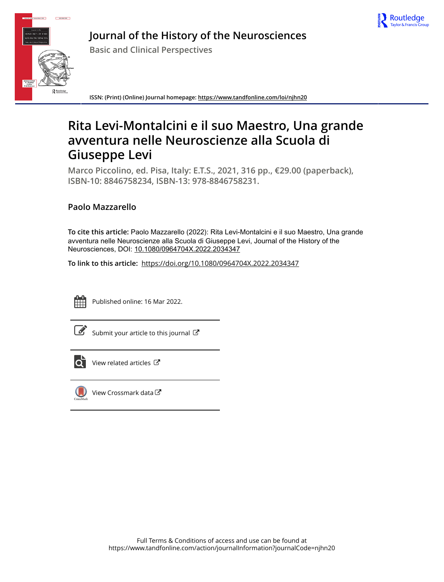



**Journal of the History of the Neurosciences**

**Basic and Clinical Perspectives**

**ISSN: (Print) (Online) Journal homepage:<https://www.tandfonline.com/loi/njhn20>**

# **Rita Levi-Montalcini e il suo Maestro, Una grande avventura nelle Neuroscienze alla Scuola di Giuseppe Levi**

**Marco Piccolino, ed. Pisa, Italy: E.T.S., 2021, 316 pp., €29.00 (paperback), ISBN-10: 8846758234, ISBN-13: 978-8846758231.**

## **Paolo Mazzarello**

**To cite this article:** Paolo Mazzarello (2022): Rita Levi-Montalcini e il suo Maestro, Una grande avventura nelle Neuroscienze alla Scuola di Giuseppe Levi, Journal of the History of the Neurosciences, DOI: [10.1080/0964704X.2022.2034347](https://www.tandfonline.com/action/showCitFormats?doi=10.1080/0964704X.2022.2034347)

**To link to this article:** <https://doi.org/10.1080/0964704X.2022.2034347>



Published online: 16 Mar 2022.

[Submit your article to this journal](https://www.tandfonline.com/action/authorSubmission?journalCode=njhn20&show=instructions)  $\mathbb{Z}$ 



 $\overline{\mathbf{C}}$  [View related articles](https://www.tandfonline.com/doi/mlt/10.1080/0964704X.2022.2034347)  $\mathbf{C}$ 



[View Crossmark data](http://crossmark.crossref.org/dialog/?doi=10.1080/0964704X.2022.2034347&domain=pdf&date_stamp=2022-03-16)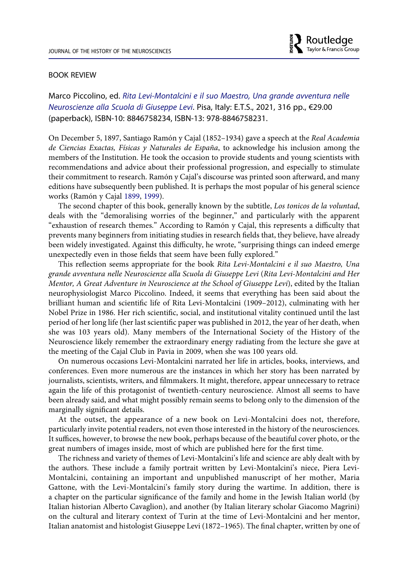#### BOOK REVIEW

Marco Piccolino, ed. *Rita Levi-Montalcini e il suo Maestro, Una grande avventura nelle Neuroscienze alla Scuola di Giuseppe Levi*. Pisa, Italy: E.T.S., 2021, 316 pp., €29.00 (paperback), ISBN-10: 8846758234, ISBN-13: 978-8846758231.

On December 5, 1897, Santiago Ramón y Cajal (1852–1934) gave a speech at the *Real Academia de Ciencias Exactas, Físicas y Naturales de España*, to acknowledge his inclusion among the members of the Institution. He took the occasion to provide students and young scientists with recommendations and advice about their professional progression, and especially to stimulate their commitment to research. Ramón y Cajal's discourse was printed soon afterward, and many editions have subsequently been published. It is perhaps the most popular of his general science works (Ramón y Cajal [1899,](#page-2-0) [1999\)](#page-2-1).

<span id="page-1-0"></span>The second chapter of this book, generally known by the subtitle, *Los tonicos de la voluntad*, deals with the "demoralising worries of the beginner," and particularly with the apparent "exhaustion of research themes." According to Ramón y Cajal, this represents a difficulty that prevents many beginners from initiating studies in research fields that, they believe, have already been widely investigated. Against this difficulty, he wrote, "surprising things can indeed emerge unexpectedly even in those fields that seem have been fully explored."

This reflection seems appropriate for the book *Rita Levi-Montalcini e il suo Maestro, Una grande avventura nelle Neuroscienze alla Scuola di Giuseppe Levi* (*Rita Levi-Montalcini and Her Mentor, A Great Adventure in Neuroscience at the School of Giuseppe Levi*), edited by the Italian neurophysiologist Marco Piccolino. Indeed, it seems that everything has been said about the brilliant human and scientific life of Rita Levi-Montalcini (1909–2012), culminating with her Nobel Prize in 1986. Her rich scientific, social, and institutional vitality continued until the last period of her long life (her last scientific paper was published in 2012, the year of her death, when she was 103 years old). Many members of the International Society of the History of the Neuroscience likely remember the extraordinary energy radiating from the lecture she gave at the meeting of the Cajal Club in Pavia in 2009, when she was 100 years old.

On numerous occasions Levi-Montalcini narrated her life in articles, books, interviews, and conferences. Even more numerous are the instances in which her story has been narrated by journalists, scientists, writers, and filmmakers. It might, therefore, appear unnecessary to retrace again the life of this protagonist of twentieth-century neuroscience. Almost all seems to have been already said, and what might possibly remain seems to belong only to the dimension of the marginally significant details.

At the outset, the appearance of a new book on Levi-Montalcini does not, therefore, particularly invite potential readers, not even those interested in the history of the neurosciences. It suffices, however, to browse the new book, perhaps because of the beautiful cover photo, or the great numbers of images inside, most of which are published here for the first time.

The richness and variety of themes of Levi-Montalcini's life and science are ably dealt with by the authors. These include a family portrait written by Levi-Montalcini's niece, Piera Levi-Montalcini, containing an important and unpublished manuscript of her mother, Maria Gattone, with the Levi-Montalcini's family story during the wartime. In addition, there is a chapter on the particular significance of the family and home in the Jewish Italian world (by Italian historian Alberto Cavaglion), and another (by Italian literary scholar Giacomo Magrini) on the cultural and literary context of Turin at the time of Levi-Montalcini and her mentor, Italian anatomist and histologist Giuseppe Levi (1872–1965). The final chapter, written by one of